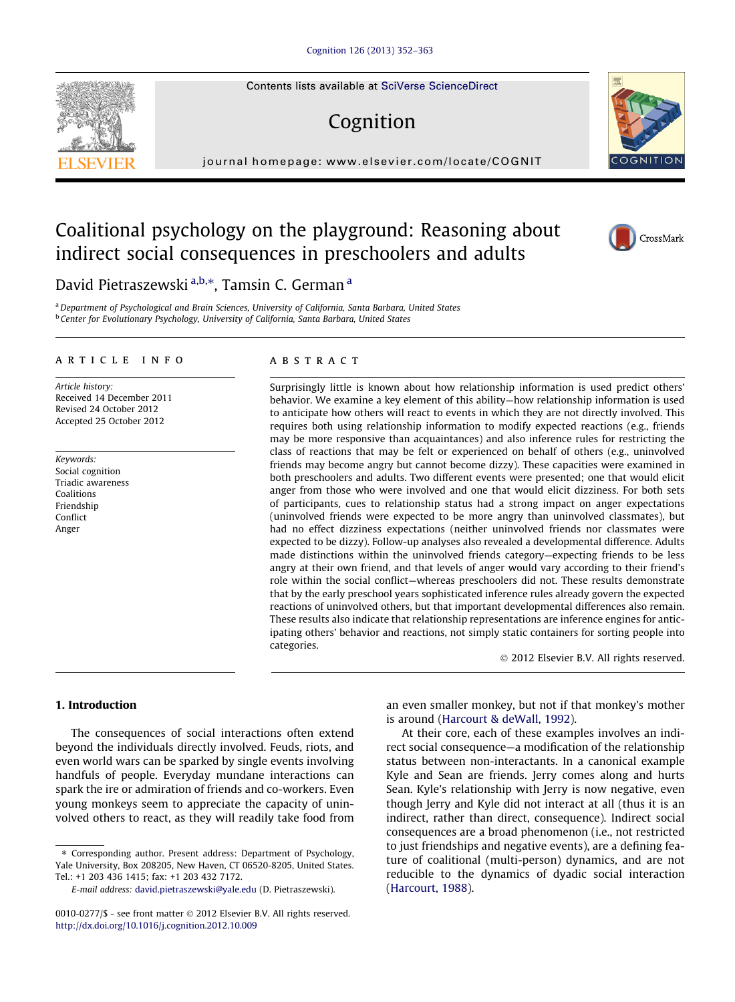Contents lists available at [SciVerse ScienceDirect](http://www.sciencedirect.com/science/journal/00100277)

# Cognition

journal homepage: [www.elsevier.com/locate/COGNIT](http://www.elsevier.com/locate/COGNIT)

# Coalitional psychology on the playground: Reasoning about indirect social consequences in preschoolers and adults

David Pietraszewski <sup>a,b,\*</sup>, Tamsin C. German <sup>a</sup>

a Department of Psychological and Brain Sciences, University of California, Santa Barbara, United States **b Center for Evolutionary Psychology, University of California, Santa Barbara, United States** 

## article info

Article history: Received 14 December 2011 Revised 24 October 2012 Accepted 25 October 2012

Keywords: Social cognition Triadic awareness Coalitions Friendship Conflict Anger

## **ABSTRACT**

Surprisingly little is known about how relationship information is used predict others' behavior. We examine a key element of this ability—how relationship information is used to anticipate how others will react to events in which they are not directly involved. This requires both using relationship information to modify expected reactions (e.g., friends may be more responsive than acquaintances) and also inference rules for restricting the class of reactions that may be felt or experienced on behalf of others (e.g., uninvolved friends may become angry but cannot become dizzy). These capacities were examined in both preschoolers and adults. Two different events were presented; one that would elicit anger from those who were involved and one that would elicit dizziness. For both sets of participants, cues to relationship status had a strong impact on anger expectations (uninvolved friends were expected to be more angry than uninvolved classmates), but had no effect dizziness expectations (neither uninvolved friends nor classmates were expected to be dizzy). Follow-up analyses also revealed a developmental difference. Adults made distinctions within the uninvolved friends category—expecting friends to be less angry at their own friend, and that levels of anger would vary according to their friend's role within the social conflict—whereas preschoolers did not. These results demonstrate that by the early preschool years sophisticated inference rules already govern the expected reactions of uninvolved others, but that important developmental differences also remain. These results also indicate that relationship representations are inference engines for anticipating others' behavior and reactions, not simply static containers for sorting people into categories.

- 2012 Elsevier B.V. All rights reserved.

## 1. Introduction

The consequences of social interactions often extend beyond the individuals directly involved. Feuds, riots, and even world wars can be sparked by single events involving handfuls of people. Everyday mundane interactions can spark the ire or admiration of friends and co-workers. Even young monkeys seem to appreciate the capacity of uninvolved others to react, as they will readily take food from

an even smaller monkey, but not if that monkey's mother is around ([Harcourt & deWall, 1992\)](#page-11-0).

At their core, each of these examples involves an indirect social consequence—a modification of the relationship status between non-interactants. In a canonical example Kyle and Sean are friends. Jerry comes along and hurts Sean. Kyle's relationship with Jerry is now negative, even though Jerry and Kyle did not interact at all (thus it is an indirect, rather than direct, consequence). Indirect social consequences are a broad phenomenon (i.e., not restricted to just friendships and negative events), are a defining feature of coalitional (multi-person) dynamics, and are not reducible to the dynamics of dyadic social interaction [\(Harcourt, 1988](#page-11-0)).







<sup>⇑</sup> Corresponding author. Present address: Department of Psychology, Yale University, Box 208205, New Haven, CT 06520-8205, United States. Tel.: +1 203 436 1415; fax: +1 203 432 7172.

E-mail address: [david.pietraszewski@yale.edu](mailto:david.pietraszewski@yale.edu) (D. Pietraszewski).

<sup>0010-0277/\$ -</sup> see front matter © 2012 Elsevier B.V. All rights reserved. <http://dx.doi.org/10.1016/j.cognition.2012.10.009>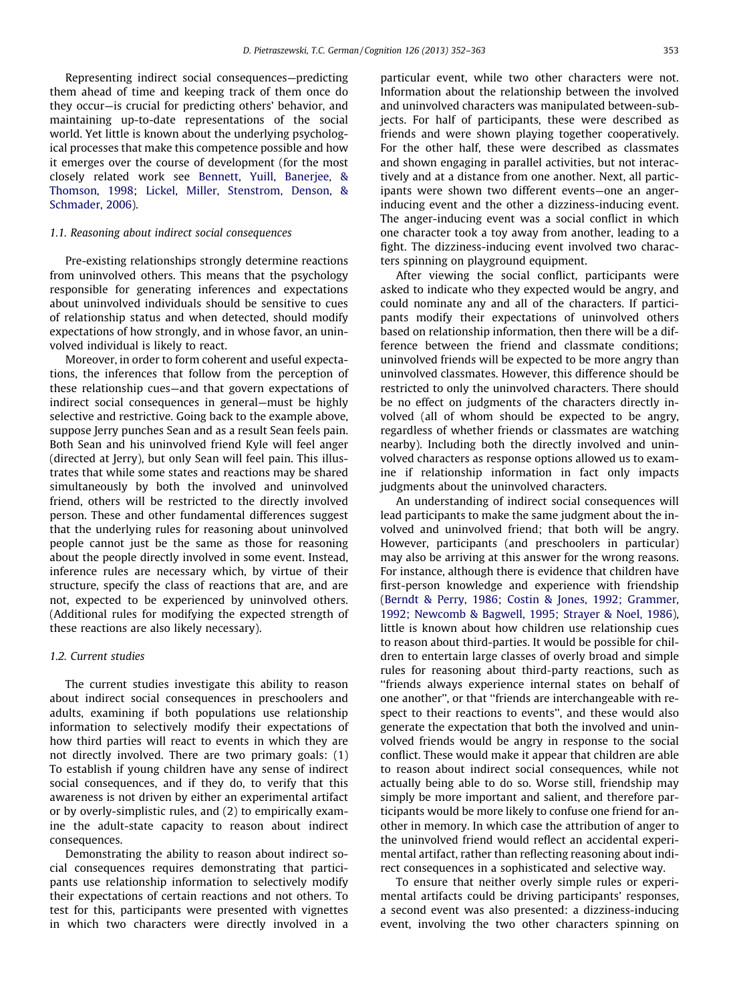Representing indirect social consequences—predicting them ahead of time and keeping track of them once do they occur—is crucial for predicting others' behavior, and maintaining up-to-date representations of the social world. Yet little is known about the underlying psychological processes that make this competence possible and how it emerges over the course of development (for the most closely related work see [Bennett, Yuill, Banerjee, &](#page-11-0) [Thomson, 1998;](#page-11-0) [Lickel, Miller, Stenstrom, Denson, &](#page-11-0) [Schmader, 2006\)](#page-11-0).

#### 1.1. Reasoning about indirect social consequences

Pre-existing relationships strongly determine reactions from uninvolved others. This means that the psychology responsible for generating inferences and expectations about uninvolved individuals should be sensitive to cues of relationship status and when detected, should modify expectations of how strongly, and in whose favor, an uninvolved individual is likely to react.

Moreover, in order to form coherent and useful expectations, the inferences that follow from the perception of these relationship cues—and that govern expectations of indirect social consequences in general—must be highly selective and restrictive. Going back to the example above, suppose Jerry punches Sean and as a result Sean feels pain. Both Sean and his uninvolved friend Kyle will feel anger (directed at Jerry), but only Sean will feel pain. This illustrates that while some states and reactions may be shared simultaneously by both the involved and uninvolved friend, others will be restricted to the directly involved person. These and other fundamental differences suggest that the underlying rules for reasoning about uninvolved people cannot just be the same as those for reasoning about the people directly involved in some event. Instead, inference rules are necessary which, by virtue of their structure, specify the class of reactions that are, and are not, expected to be experienced by uninvolved others. (Additional rules for modifying the expected strength of these reactions are also likely necessary).

#### 1.2. Current studies

The current studies investigate this ability to reason about indirect social consequences in preschoolers and adults, examining if both populations use relationship information to selectively modify their expectations of how third parties will react to events in which they are not directly involved. There are two primary goals: (1) To establish if young children have any sense of indirect social consequences, and if they do, to verify that this awareness is not driven by either an experimental artifact or by overly-simplistic rules, and (2) to empirically examine the adult-state capacity to reason about indirect consequences.

Demonstrating the ability to reason about indirect social consequences requires demonstrating that participants use relationship information to selectively modify their expectations of certain reactions and not others. To test for this, participants were presented with vignettes in which two characters were directly involved in a

particular event, while two other characters were not. Information about the relationship between the involved and uninvolved characters was manipulated between-subjects. For half of participants, these were described as friends and were shown playing together cooperatively. For the other half, these were described as classmates and shown engaging in parallel activities, but not interactively and at a distance from one another. Next, all participants were shown two different events—one an angerinducing event and the other a dizziness-inducing event. The anger-inducing event was a social conflict in which one character took a toy away from another, leading to a fight. The dizziness-inducing event involved two characters spinning on playground equipment.

After viewing the social conflict, participants were asked to indicate who they expected would be angry, and could nominate any and all of the characters. If participants modify their expectations of uninvolved others based on relationship information, then there will be a difference between the friend and classmate conditions; uninvolved friends will be expected to be more angry than uninvolved classmates. However, this difference should be restricted to only the uninvolved characters. There should be no effect on judgments of the characters directly involved (all of whom should be expected to be angry, regardless of whether friends or classmates are watching nearby). Including both the directly involved and uninvolved characters as response options allowed us to examine if relationship information in fact only impacts judgments about the uninvolved characters.

An understanding of indirect social consequences will lead participants to make the same judgment about the involved and uninvolved friend; that both will be angry. However, participants (and preschoolers in particular) may also be arriving at this answer for the wrong reasons. For instance, although there is evidence that children have first-person knowledge and experience with friendship [\(Berndt & Perry, 1986; Costin & Jones, 1992; Grammer,](#page-11-0) [1992; Newcomb & Bagwell, 1995; Strayer & Noel, 1986](#page-11-0)), little is known about how children use relationship cues to reason about third-parties. It would be possible for children to entertain large classes of overly broad and simple rules for reasoning about third-party reactions, such as ''friends always experience internal states on behalf of one another'', or that ''friends are interchangeable with respect to their reactions to events'', and these would also generate the expectation that both the involved and uninvolved friends would be angry in response to the social conflict. These would make it appear that children are able to reason about indirect social consequences, while not actually being able to do so. Worse still, friendship may simply be more important and salient, and therefore participants would be more likely to confuse one friend for another in memory. In which case the attribution of anger to the uninvolved friend would reflect an accidental experimental artifact, rather than reflecting reasoning about indirect consequences in a sophisticated and selective way.

To ensure that neither overly simple rules or experimental artifacts could be driving participants' responses, a second event was also presented: a dizziness-inducing event, involving the two other characters spinning on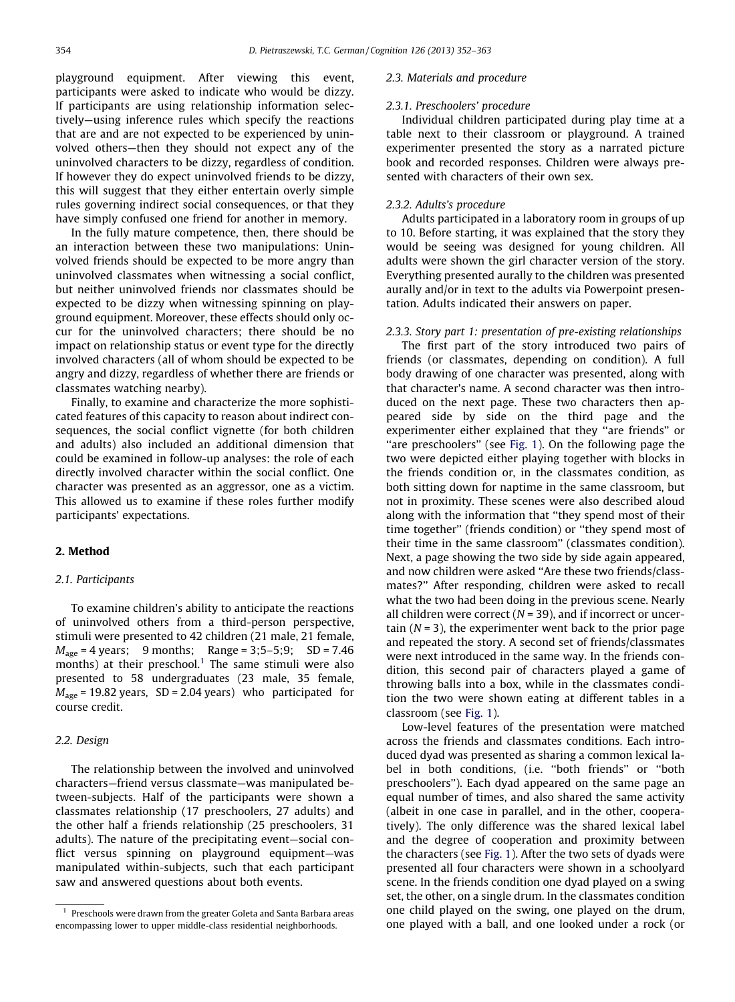playground equipment. After viewing this event, participants were asked to indicate who would be dizzy. If participants are using relationship information selectively—using inference rules which specify the reactions that are and are not expected to be experienced by uninvolved others—then they should not expect any of the uninvolved characters to be dizzy, regardless of condition. If however they do expect uninvolved friends to be dizzy, this will suggest that they either entertain overly simple rules governing indirect social consequences, or that they have simply confused one friend for another in memory.

In the fully mature competence, then, there should be an interaction between these two manipulations: Uninvolved friends should be expected to be more angry than uninvolved classmates when witnessing a social conflict, but neither uninvolved friends nor classmates should be expected to be dizzy when witnessing spinning on playground equipment. Moreover, these effects should only occur for the uninvolved characters; there should be no impact on relationship status or event type for the directly involved characters (all of whom should be expected to be angry and dizzy, regardless of whether there are friends or classmates watching nearby).

Finally, to examine and characterize the more sophisticated features of this capacity to reason about indirect consequences, the social conflict vignette (for both children and adults) also included an additional dimension that could be examined in follow-up analyses: the role of each directly involved character within the social conflict. One character was presented as an aggressor, one as a victim. This allowed us to examine if these roles further modify participants' expectations.

## 2. Method

## 2.1. Participants

To examine children's ability to anticipate the reactions of uninvolved others from a third-person perspective, stimuli were presented to 42 children (21 male, 21 female,  $M_{\text{age}} = 4 \text{ years};$  9 months; Range = 3;5–5;9; SD = 7.46 months) at their preschool.<sup>1</sup> The same stimuli were also presented to 58 undergraduates (23 male, 35 female,  $M<sub>age</sub> = 19.82 \text{ years}, SD = 2.04 \text{ years}$  who participated for course credit.

## 2.2. Design

The relationship between the involved and uninvolved characters—friend versus classmate—was manipulated between-subjects. Half of the participants were shown a classmates relationship (17 preschoolers, 27 adults) and the other half a friends relationship (25 preschoolers, 31 adults). The nature of the precipitating event—social conflict versus spinning on playground equipment—was manipulated within-subjects, such that each participant saw and answered questions about both events.

## 2.3. Materials and procedure

## 2.3.1. Preschoolers' procedure

Individual children participated during play time at a table next to their classroom or playground. A trained experimenter presented the story as a narrated picture book and recorded responses. Children were always presented with characters of their own sex.

## 2.3.2. Adults's procedure

Adults participated in a laboratory room in groups of up to 10. Before starting, it was explained that the story they would be seeing was designed for young children. All adults were shown the girl character version of the story. Everything presented aurally to the children was presented aurally and/or in text to the adults via Powerpoint presentation. Adults indicated their answers on paper.

## 2.3.3. Story part 1: presentation of pre-existing relationships

The first part of the story introduced two pairs of friends (or classmates, depending on condition). A full body drawing of one character was presented, along with that character's name. A second character was then introduced on the next page. These two characters then appeared side by side on the third page and the experimenter either explained that they ''are friends'' or ''are preschoolers'' (see [Fig. 1\)](#page-3-0). On the following page the two were depicted either playing together with blocks in the friends condition or, in the classmates condition, as both sitting down for naptime in the same classroom, but not in proximity. These scenes were also described aloud along with the information that ''they spend most of their time together'' (friends condition) or ''they spend most of their time in the same classroom'' (classmates condition). Next, a page showing the two side by side again appeared, and now children were asked ''Are these two friends/classmates?'' After responding, children were asked to recall what the two had been doing in the previous scene. Nearly all children were correct ( $N = 39$ ), and if incorrect or uncertain  $(N = 3)$ , the experimenter went back to the prior page and repeated the story. A second set of friends/classmates were next introduced in the same way. In the friends condition, this second pair of characters played a game of throwing balls into a box, while in the classmates condition the two were shown eating at different tables in a classroom (see [Fig. 1](#page-3-0)).

Low-level features of the presentation were matched across the friends and classmates conditions. Each introduced dyad was presented as sharing a common lexical label in both conditions, (i.e. ''both friends'' or ''both preschoolers''). Each dyad appeared on the same page an equal number of times, and also shared the same activity (albeit in one case in parallel, and in the other, cooperatively). The only difference was the shared lexical label and the degree of cooperation and proximity between the characters (see [Fig. 1\)](#page-3-0). After the two sets of dyads were presented all four characters were shown in a schoolyard scene. In the friends condition one dyad played on a swing set, the other, on a single drum. In the classmates condition one child played on the swing, one played on the drum, one played with a ball, and one looked under a rock (or

<sup>&</sup>lt;sup>1</sup> Preschools were drawn from the greater Goleta and Santa Barbara areas encompassing lower to upper middle-class residential neighborhoods.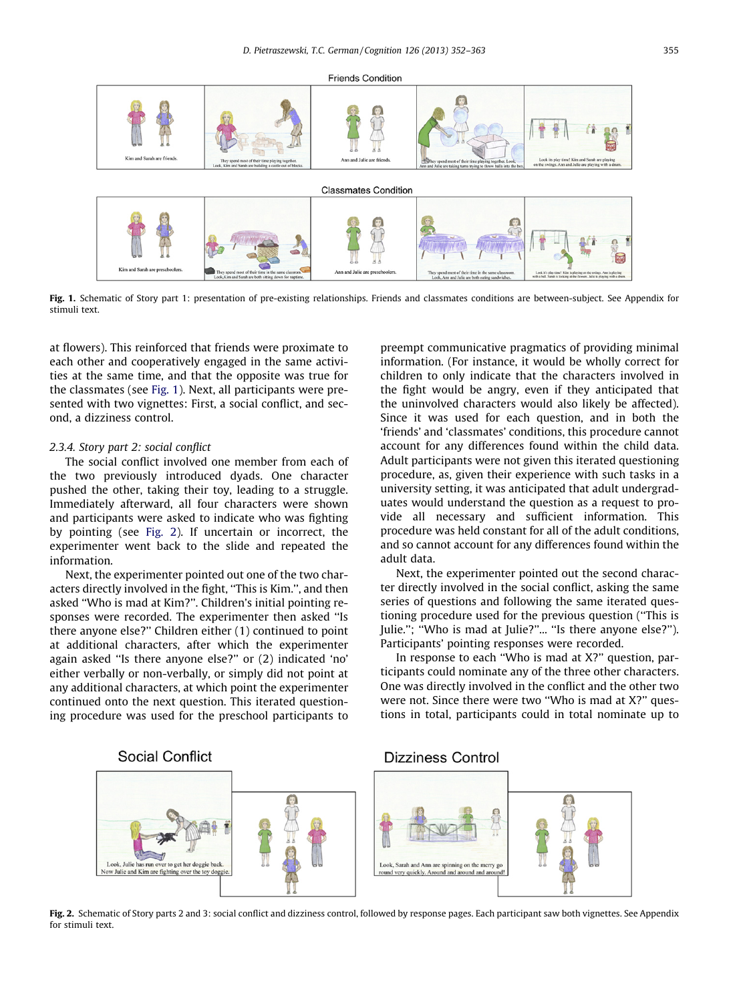<span id="page-3-0"></span>

Fig. 1. Schematic of Story part 1: presentation of pre-existing relationships. Friends and classmates conditions are between-subject. See Appendix for stimuli text.

at flowers). This reinforced that friends were proximate to each other and cooperatively engaged in the same activities at the same time, and that the opposite was true for the classmates (see Fig. 1). Next, all participants were presented with two vignettes: First, a social conflict, and second, a dizziness control.

#### 2.3.4. Story part 2: social conflict

The social conflict involved one member from each of the two previously introduced dyads. One character pushed the other, taking their toy, leading to a struggle. Immediately afterward, all four characters were shown and participants were asked to indicate who was fighting by pointing (see Fig. 2). If uncertain or incorrect, the experimenter went back to the slide and repeated the information.

Next, the experimenter pointed out one of the two characters directly involved in the fight, ''This is Kim.'', and then asked ''Who is mad at Kim?''. Children's initial pointing responses were recorded. The experimenter then asked ''Is there anyone else?'' Children either (1) continued to point at additional characters, after which the experimenter again asked ''Is there anyone else?'' or (2) indicated 'no' either verbally or non-verbally, or simply did not point at any additional characters, at which point the experimenter continued onto the next question. This iterated questioning procedure was used for the preschool participants to

preempt communicative pragmatics of providing minimal information. (For instance, it would be wholly correct for children to only indicate that the characters involved in the fight would be angry, even if they anticipated that the uninvolved characters would also likely be affected). Since it was used for each question, and in both the 'friends' and 'classmates' conditions, this procedure cannot account for any differences found within the child data. Adult participants were not given this iterated questioning procedure, as, given their experience with such tasks in a university setting, it was anticipated that adult undergraduates would understand the question as a request to provide all necessary and sufficient information. This procedure was held constant for all of the adult conditions, and so cannot account for any differences found within the adult data.

Next, the experimenter pointed out the second character directly involved in the social conflict, asking the same series of questions and following the same iterated questioning procedure used for the previous question (''This is Julie."; "Who is mad at Julie?"... "Is there anyone else?"). Participants' pointing responses were recorded.

In response to each ''Who is mad at X?'' question, participants could nominate any of the three other characters. One was directly involved in the conflict and the other two were not. Since there were two ''Who is mad at X?'' questions in total, participants could in total nominate up to



Fig. 2. Schematic of Story parts 2 and 3: social conflict and dizziness control, followed by response pages. Each participant saw both vignettes. See Appendix for stimuli text.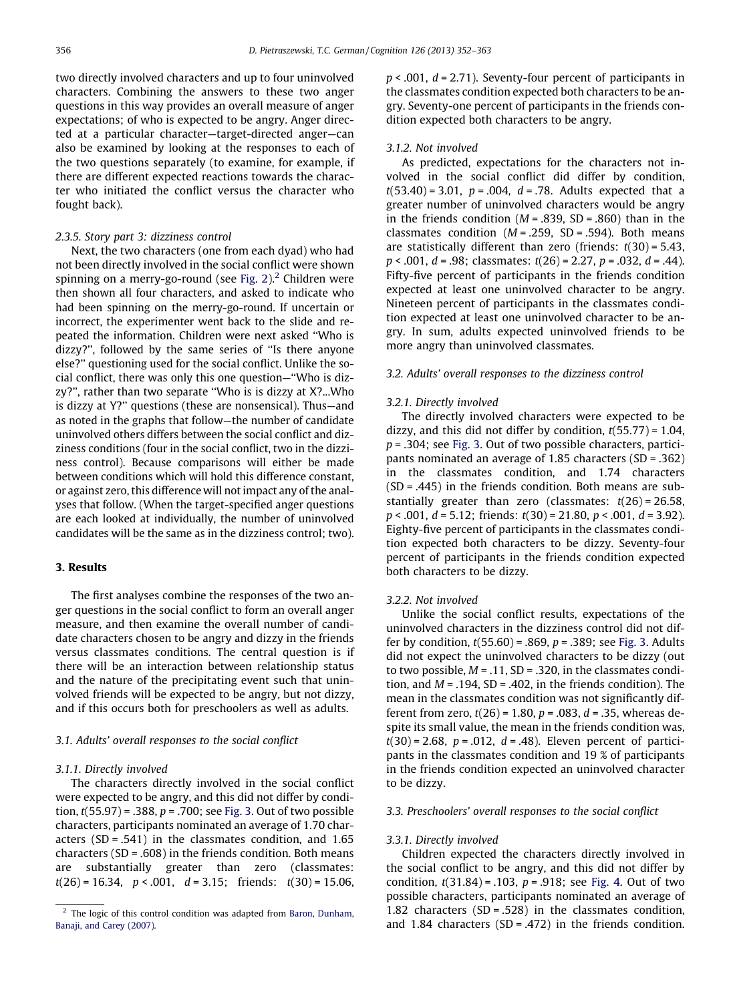two directly involved characters and up to four uninvolved characters. Combining the answers to these two anger questions in this way provides an overall measure of anger expectations; of who is expected to be angry. Anger directed at a particular character—target-directed anger—can also be examined by looking at the responses to each of the two questions separately (to examine, for example, if there are different expected reactions towards the character who initiated the conflict versus the character who fought back).

## 2.3.5. Story part 3: dizziness control

Next, the two characters (one from each dyad) who had not been directly involved in the social conflict were shown spinning on a merry-go-round (see Fig.  $2$ ).<sup>2</sup> Children were then shown all four characters, and asked to indicate who had been spinning on the merry-go-round. If uncertain or incorrect, the experimenter went back to the slide and repeated the information. Children were next asked ''Who is dizzy?'', followed by the same series of ''Is there anyone else?'' questioning used for the social conflict. Unlike the social conflict, there was only this one question—''Who is dizzy?'', rather than two separate ''Who is is dizzy at X?...Who is dizzy at Y?'' questions (these are nonsensical). Thus—and as noted in the graphs that follow—the number of candidate uninvolved others differs between the social conflict and dizziness conditions (four in the social conflict, two in the dizziness control). Because comparisons will either be made between conditions which will hold this difference constant, or against zero, this difference will not impact any of the analyses that follow. (When the target-specified anger questions are each looked at individually, the number of uninvolved candidates will be the same as in the dizziness control; two).

## 3. Results

The first analyses combine the responses of the two anger questions in the social conflict to form an overall anger measure, and then examine the overall number of candidate characters chosen to be angry and dizzy in the friends versus classmates conditions. The central question is if there will be an interaction between relationship status and the nature of the precipitating event such that uninvolved friends will be expected to be angry, but not dizzy, and if this occurs both for preschoolers as well as adults.

## 3.1. Adults' overall responses to the social conflict

## 3.1.1. Directly involved

The characters directly involved in the social conflict were expected to be angry, and this did not differ by condition,  $t(55.97) = .388$ ,  $p = .700$ ; see [Fig. 3](#page-5-0). Out of two possible characters, participants nominated an average of 1.70 characters  $(SD = .541)$  in the classmates condition, and 1.65 characters  $(SD = .608)$  in the friends condition. Both means substantially greater than zero (classmates:  $t(26) = 16.34$ ,  $p < .001$ ,  $d = 3.15$ ; friends:  $t(30) = 15.06$ ,  $p < .001$ ,  $d = 2.71$ ). Seventy-four percent of participants in the classmates condition expected both characters to be angry. Seventy-one percent of participants in the friends condition expected both characters to be angry.

## 3.1.2. Not involved

As predicted, expectations for the characters not involved in the social conflict did differ by condition,  $t(53.40) = 3.01$ ,  $p = .004$ ,  $d = .78$ . Adults expected that a greater number of uninvolved characters would be angry in the friends condition  $(M = .839, SD = .860)$  than in the classmates condition  $(M = .259, SD = .594)$ . Both means are statistically different than zero (friends:  $t(30) = 5.43$ ,  $p < .001$ ,  $d = .98$ ; classmates:  $t(26) = 2.27$ ,  $p = .032$ ,  $d = .44$ ). Fifty-five percent of participants in the friends condition expected at least one uninvolved character to be angry. Nineteen percent of participants in the classmates condition expected at least one uninvolved character to be angry. In sum, adults expected uninvolved friends to be more angry than uninvolved classmates.

## 3.2. Adults' overall responses to the dizziness control

#### 3.2.1. Directly involved

The directly involved characters were expected to be dizzy, and this did not differ by condition,  $t(55.77) = 1.04$ ,  $p = .304$ ; see [Fig. 3.](#page-5-0) Out of two possible characters, participants nominated an average of 1.85 characters (SD = .362) in the classmates condition, and 1.74 characters (SD = .445) in the friends condition. Both means are substantially greater than zero (classmates:  $t(26) = 26.58$ ,  $p < .001$ ,  $d = 5.12$ ; friends:  $t(30) = 21.80$ ,  $p < .001$ ,  $d = 3.92$ ). Eighty-five percent of participants in the classmates condition expected both characters to be dizzy. Seventy-four percent of participants in the friends condition expected both characters to be dizzy.

## 3.2.2. Not involved

Unlike the social conflict results, expectations of the uninvolved characters in the dizziness control did not differ by condition,  $t(55.60) = .869$ ,  $p = .389$ ; see [Fig. 3.](#page-5-0) Adults did not expect the uninvolved characters to be dizzy (out to two possible,  $M = .11$ , SD = .320, in the classmates condition, and  $M = .194$ , SD = .402, in the friends condition). The mean in the classmates condition was not significantly different from zero,  $t(26) = 1.80$ ,  $p = .083$ ,  $d = .35$ , whereas despite its small value, the mean in the friends condition was,  $t(30) = 2.68$ ,  $p = .012$ ,  $d = .48$ ). Eleven percent of participants in the classmates condition and 19 % of participants in the friends condition expected an uninvolved character to be dizzy.

## 3.3. Preschoolers' overall responses to the social conflict

#### 3.3.1. Directly involved

Children expected the characters directly involved in the social conflict to be angry, and this did not differ by condition,  $t(31.84) = .103$ ,  $p = .918$ ; see [Fig. 4](#page-5-0). Out of two possible characters, participants nominated an average of 1.82 characters (SD = .528) in the classmates condition, and  $1.84$  characters (SD = .472) in the friends condition.

<sup>&</sup>lt;sup>2</sup> The logic of this control condition was adapted from [Baron, Dunham,](#page-11-0) [Banaji, and Carey \(2007\)](#page-11-0).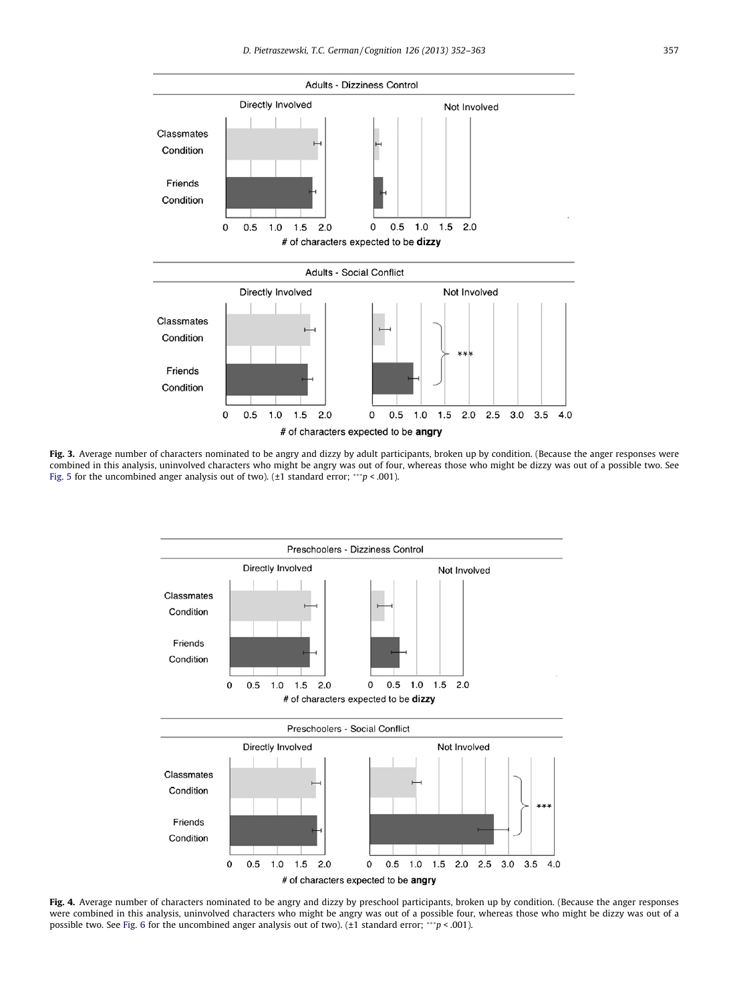<span id="page-5-0"></span>

Fig. 3. Average number of characters nominated to be angry and dizzy by adult participants, broken up by condition. (Because the anger responses were combined in this analysis, uninvolved characters who might be angry was out of four, whereas those who might be dizzy was out of a possible two. See [Fig. 5](#page-7-0) for the uncombined anger analysis out of two). ( $\pm 1$  standard error; \*\*\* $p < .001$ ).



Fig. 4. Average number of characters nominated to be angry and dizzy by preschool participants, broken up by condition. (Because the anger responses were combined in this analysis, uninvolved characters who might be angry was out of a possible four, whereas those who might be dizzy was out of a possible two. See [Fig. 6](#page-8-0) for the uncombined anger analysis out of two).  $(\pm 1)$  standard error; \*\*\* $p < .001$ ).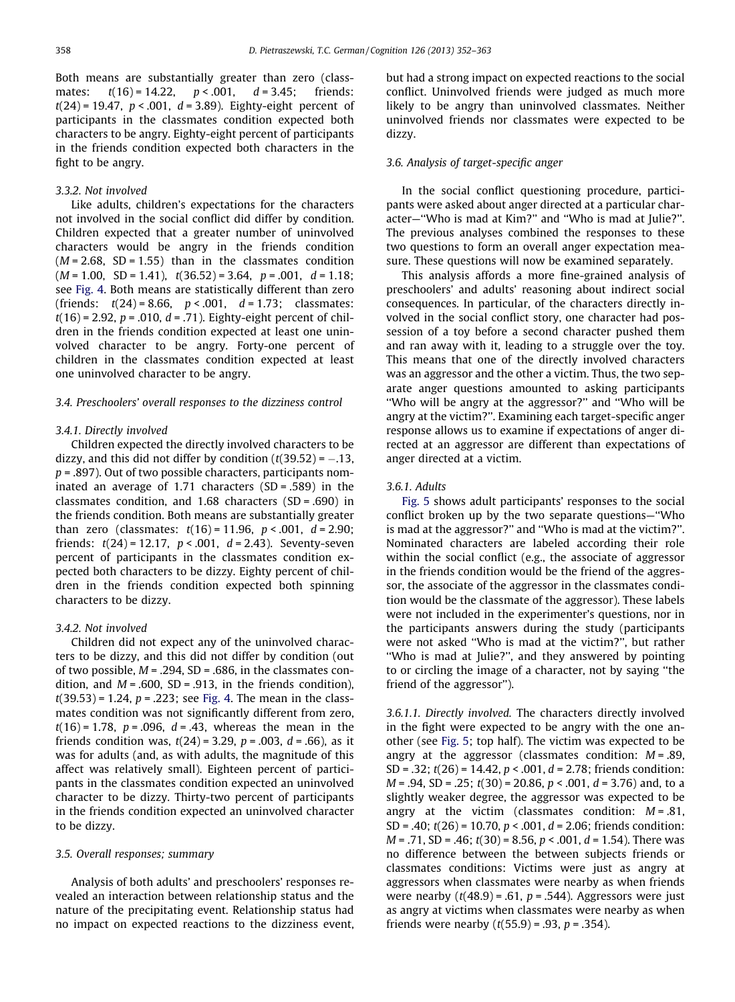Both means are substantially greater than zero (classmates:  $t(16) = 14.22$ ,  $p < .001$ ,  $d = 3.45$ ; friends:  $t(24) = 19.47$ ,  $p < .001$ ,  $d = 3.89$ ). Eighty-eight percent of participants in the classmates condition expected both characters to be angry. Eighty-eight percent of participants in the friends condition expected both characters in the fight to be angry.

#### 3.3.2. Not involved

Like adults, children's expectations for the characters not involved in the social conflict did differ by condition. Children expected that a greater number of uninvolved characters would be angry in the friends condition  $(M = 2.68, SD = 1.55)$  than in the classmates condition  $(M = 1.00, SD = 1.41), t(36.52) = 3.64, p = .001, d = 1.18;$ see [Fig. 4.](#page-5-0) Both means are statistically different than zero (friends:  $t(24) = 8.66$ ,  $p < .001$ ,  $d = 1.73$ ; classmates:  $t(16) = 2.92$ ,  $p = .010$ ,  $d = .71$ ). Eighty-eight percent of children in the friends condition expected at least one uninvolved character to be angry. Forty-one percent of children in the classmates condition expected at least one uninvolved character to be angry.

## 3.4. Preschoolers' overall responses to the dizziness control

#### 3.4.1. Directly involved

Children expected the directly involved characters to be dizzy, and this did not differ by condition  $(t(39.52) = -.13$ ,  $p = .897$ ). Out of two possible characters, participants nominated an average of 1.71 characters (SD = .589) in the classmates condition, and 1.68 characters (SD = .690) in the friends condition. Both means are substantially greater than zero (classmates:  $t(16) = 11.96$ ,  $p < .001$ ,  $d = 2.90$ ; friends:  $t(24) = 12.17$ ,  $p < .001$ ,  $d = 2.43$ ). Seventy-seven percent of participants in the classmates condition expected both characters to be dizzy. Eighty percent of children in the friends condition expected both spinning characters to be dizzy.

## 3.4.2. Not involved

Children did not expect any of the uninvolved characters to be dizzy, and this did not differ by condition (out of two possible,  $M = .294$ , SD = .686, in the classmates condition, and  $M = .600$ , SD = .913, in the friends condition),  $t(39.53) = 1.24$ ,  $p = .223$ ; see [Fig. 4.](#page-5-0) The mean in the classmates condition was not significantly different from zero,  $t(16) = 1.78$ ,  $p = .096$ ,  $d = .43$ , whereas the mean in the friends condition was,  $t(24) = 3.29$ ,  $p = .003$ ,  $d = .66$ ), as it was for adults (and, as with adults, the magnitude of this affect was relatively small). Eighteen percent of participants in the classmates condition expected an uninvolved character to be dizzy. Thirty-two percent of participants in the friends condition expected an uninvolved character to be dizzy.

## 3.5. Overall responses; summary

Analysis of both adults' and preschoolers' responses revealed an interaction between relationship status and the nature of the precipitating event. Relationship status had no impact on expected reactions to the dizziness event, but had a strong impact on expected reactions to the social conflict. Uninvolved friends were judged as much more likely to be angry than uninvolved classmates. Neither uninvolved friends nor classmates were expected to be dizzy.

## 3.6. Analysis of target-specific anger

In the social conflict questioning procedure, participants were asked about anger directed at a particular character—''Who is mad at Kim?'' and ''Who is mad at Julie?''. The previous analyses combined the responses to these two questions to form an overall anger expectation measure. These questions will now be examined separately.

This analysis affords a more fine-grained analysis of preschoolers' and adults' reasoning about indirect social consequences. In particular, of the characters directly involved in the social conflict story, one character had possession of a toy before a second character pushed them and ran away with it, leading to a struggle over the toy. This means that one of the directly involved characters was an aggressor and the other a victim. Thus, the two separate anger questions amounted to asking participants ''Who will be angry at the aggressor?'' and ''Who will be angry at the victim?''. Examining each target-specific anger response allows us to examine if expectations of anger directed at an aggressor are different than expectations of anger directed at a victim.

#### 3.6.1. Adults

[Fig. 5](#page-7-0) shows adult participants' responses to the social conflict broken up by the two separate questions—''Who is mad at the aggressor?'' and ''Who is mad at the victim?''. Nominated characters are labeled according their role within the social conflict (e.g., the associate of aggressor in the friends condition would be the friend of the aggressor, the associate of the aggressor in the classmates condition would be the classmate of the aggressor). These labels were not included in the experimenter's questions, nor in the participants answers during the study (participants were not asked ''Who is mad at the victim?'', but rather ''Who is mad at Julie?'', and they answered by pointing to or circling the image of a character, not by saying ''the friend of the aggressor'').

3.6.1.1. Directly involved. The characters directly involved in the fight were expected to be angry with the one another (see [Fig. 5;](#page-7-0) top half). The victim was expected to be angry at the aggressor (classmates condition:  $M = .89$ , SD = .32;  $t(26)$  = 14.42,  $p < .001$ ,  $d = 2.78$ ; friends condition:  $M = .94$ , SD = .25;  $t(30) = 20.86$ ,  $p < .001$ ,  $d = 3.76$ ) and, to a slightly weaker degree, the aggressor was expected to be angry at the victim (classmates condition:  $M = .81$ , SD = .40;  $t(26)$  = 10.70,  $p < .001$ ,  $d = 2.06$ ; friends condition:  $M = .71$ , SD = .46;  $t(30) = 8.56$ ,  $p < .001$ ,  $d = 1.54$ ). There was no difference between the between subjects friends or classmates conditions: Victims were just as angry at aggressors when classmates were nearby as when friends were nearby  $(t(48.9) = .61, p = .544)$ . Aggressors were just as angry at victims when classmates were nearby as when friends were nearby  $(t(55.9) = .93, p = .354)$ .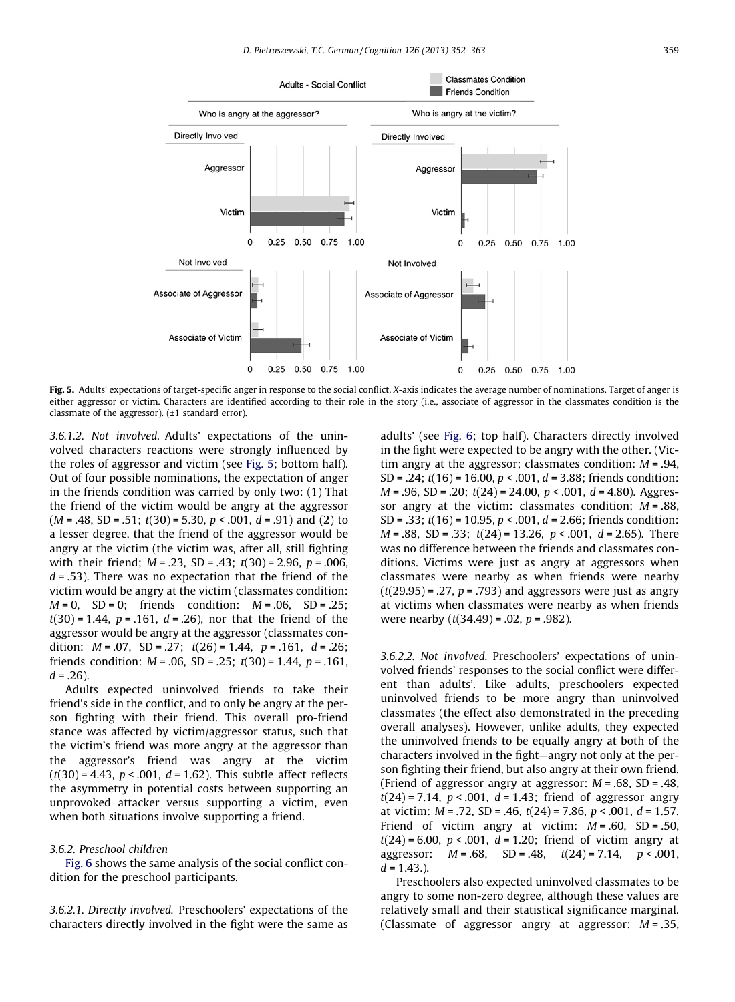<span id="page-7-0"></span>

Fig. 5. Adults' expectations of target-specific anger in response to the social conflict. X-axis indicates the average number of nominations. Target of anger is either aggressor or victim. Characters are identified according to their role in the story (i.e., associate of aggressor in the classmates condition is the classmate of the aggressor). (±1 standard error).

3.6.1.2. Not involved. Adults' expectations of the uninvolved characters reactions were strongly influenced by the roles of aggressor and victim (see Fig. 5; bottom half). Out of four possible nominations, the expectation of anger in the friends condition was carried by only two: (1) That the friend of the victim would be angry at the aggressor  $(M = .48, SD = .51; t(30) = 5.30, p < .001, d = .91)$  and (2) to a lesser degree, that the friend of the aggressor would be angry at the victim (the victim was, after all, still fighting with their friend;  $M = .23$ ,  $SD = .43$ ;  $t(30) = 2.96$ ,  $p = .006$ ,  $d = 0.53$ ). There was no expectation that the friend of the victim would be angry at the victim (classmates condition:  $M = 0$ ,  $SD = 0$ ; friends condition:  $M = .06$ ,  $SD = .25$ ;  $t(30) = 1.44$ ,  $p = .161$ ,  $d = .26$ ), nor that the friend of the aggressor would be angry at the aggressor (classmates condition:  $M = .07$ ,  $SD = .27$ ;  $t(26) = 1.44$ ,  $p = .161$ ,  $d = .26$ ; friends condition:  $M = .06$ ,  $SD = .25$ ;  $t(30) = 1.44$ ,  $p = .161$ ,  $d = .26$ ).

Adults expected uninvolved friends to take their friend's side in the conflict, and to only be angry at the person fighting with their friend. This overall pro-friend stance was affected by victim/aggressor status, such that the victim's friend was more angry at the aggressor than the aggressor's friend was angry at the victim  $(t(30) = 4.43, p < .001, d = 1.62)$ . This subtle affect reflects the asymmetry in potential costs between supporting an unprovoked attacker versus supporting a victim, even when both situations involve supporting a friend.

## 3.6.2. Preschool children

[Fig. 6](#page-8-0) shows the same analysis of the social conflict condition for the preschool participants.

3.6.2.1. Directly involved. Preschoolers' expectations of the characters directly involved in the fight were the same as

adults' (see [Fig. 6](#page-8-0); top half). Characters directly involved in the fight were expected to be angry with the other. (Victim angry at the aggressor; classmates condition:  $M = .94$ , SD = .24;  $t(16)$  = 16.00,  $p < .001$ ,  $d = 3.88$ ; friends condition:  $M = .96$ , SD = .20;  $t(24) = 24.00$ ,  $p < .001$ ,  $d = 4.80$ ). Aggressor angry at the victim: classmates condition;  $M = .88$ , SD = .33;  $t(16)$  = 10.95,  $p < .001$ ,  $d = 2.66$ ; friends condition:  $M = .88$ , SD = .33;  $t(24) = 13.26$ ,  $p < .001$ ,  $d = 2.65$ ). There was no difference between the friends and classmates conditions. Victims were just as angry at aggressors when classmates were nearby as when friends were nearby  $(t(29.95) = .27, p = .793)$  and aggressors were just as angry at victims when classmates were nearby as when friends were nearby  $(t(34.49) = .02, p = .982)$ .

3.6.2.2. Not involved. Preschoolers' expectations of uninvolved friends' responses to the social conflict were different than adults'. Like adults, preschoolers expected uninvolved friends to be more angry than uninvolved classmates (the effect also demonstrated in the preceding overall analyses). However, unlike adults, they expected the uninvolved friends to be equally angry at both of the characters involved in the fight—angry not only at the person fighting their friend, but also angry at their own friend. (Friend of aggressor angry at aggressor:  $M = .68$ , SD = .48,  $t(24) = 7.14$ ,  $p < .001$ ,  $d = 1.43$ ; friend of aggressor angry at victim:  $M = .72$ , SD = .46,  $t(24) = 7.86$ ,  $p < .001$ ,  $d = 1.57$ . Friend of victim angry at victim:  $M = .60$ , SD = .50,  $t(24) = 6.00$ ,  $p < .001$ ,  $d = 1.20$ ; friend of victim angry at aggressor:  $M = .68$ ,  $SD = .48$ ,  $t(24) = 7.14$ ,  $p < .001$ ,  $d = 1.43.$ ).

Preschoolers also expected uninvolved classmates to be angry to some non-zero degree, although these values are relatively small and their statistical significance marginal. (Classmate of aggressor angry at aggressor:  $M = 0.35$ ,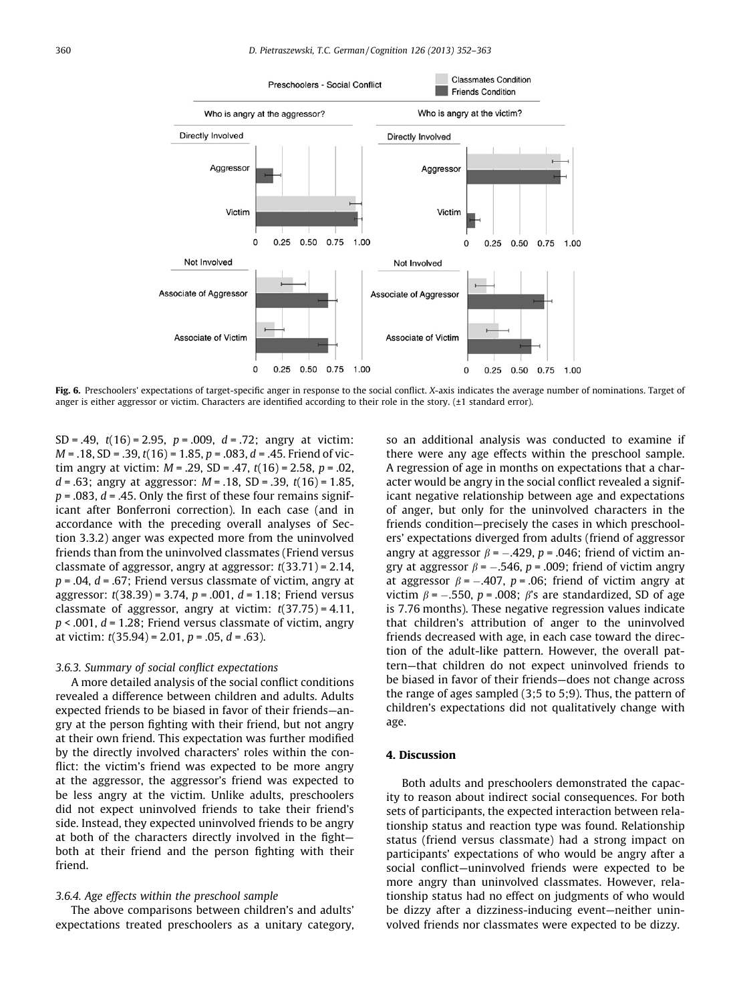<span id="page-8-0"></span>

Fig. 6. Preschoolers' expectations of target-specific anger in response to the social conflict. X-axis indicates the average number of nominations. Target of anger is either aggressor or victim. Characters are identified according to their role in the story. (±1 standard error).

SD = .49,  $t(16)$  = 2.95,  $p = .009$ ,  $d = .72$ ; angry at victim:  $M = .18$ , SD = .39,  $t(16) = 1.85$ ,  $p = .083$ ,  $d = .45$ . Friend of victim angry at victim:  $M = .29$ ,  $SD = .47$ ,  $t(16) = 2.58$ ,  $p = .02$ ,  $d = .63$ ; angry at aggressor:  $M = .18$ , SD = .39,  $t(16) = 1.85$ ,  $p = .083$ ,  $d = .45$ . Only the first of these four remains significant after Bonferroni correction). In each case (and in accordance with the preceding overall analyses of Section 3.3.2) anger was expected more from the uninvolved friends than from the uninvolved classmates (Friend versus classmate of aggressor, angry at aggressor:  $t(33.71) = 2.14$ ,  $p = .04$ ,  $d = .67$ ; Friend versus classmate of victim, angry at aggressor:  $t(38.39) = 3.74$ ,  $p = .001$ ,  $d = 1.18$ ; Friend versus classmate of aggressor, angry at victim:  $t(37.75) = 4.11$ ,  $p < .001$ ,  $d = 1.28$ ; Friend versus classmate of victim, angry at victim:  $t(35.94) = 2.01$ ,  $p = .05$ ,  $d = .63$ ).

### 3.6.3. Summary of social conflict expectations

A more detailed analysis of the social conflict conditions revealed a difference between children and adults. Adults expected friends to be biased in favor of their friends—angry at the person fighting with their friend, but not angry at their own friend. This expectation was further modified by the directly involved characters' roles within the conflict: the victim's friend was expected to be more angry at the aggressor, the aggressor's friend was expected to be less angry at the victim. Unlike adults, preschoolers did not expect uninvolved friends to take their friend's side. Instead, they expected uninvolved friends to be angry at both of the characters directly involved in the fight both at their friend and the person fighting with their friend.

## 3.6.4. Age effects within the preschool sample

The above comparisons between children's and adults' expectations treated preschoolers as a unitary category,

so an additional analysis was conducted to examine if there were any age effects within the preschool sample. A regression of age in months on expectations that a character would be angry in the social conflict revealed a significant negative relationship between age and expectations of anger, but only for the uninvolved characters in the friends condition—precisely the cases in which preschoolers' expectations diverged from adults (friend of aggressor angry at aggressor  $\beta$  = -.429, p = .046; friend of victim angry at aggressor  $\beta$  = -.546, p = .009; friend of victim angry at aggressor  $\beta = -.407$ ,  $p = .06$ ; friend of victim angry at victim  $\beta$  = -.550, p = .008;  $\beta$ 's are standardized, SD of age is 7.76 months). These negative regression values indicate that children's attribution of anger to the uninvolved friends decreased with age, in each case toward the direction of the adult-like pattern. However, the overall pattern—that children do not expect uninvolved friends to be biased in favor of their friends—does not change across the range of ages sampled (3;5 to 5;9). Thus, the pattern of children's expectations did not qualitatively change with age.

# 4. Discussion

Both adults and preschoolers demonstrated the capacity to reason about indirect social consequences. For both sets of participants, the expected interaction between relationship status and reaction type was found. Relationship status (friend versus classmate) had a strong impact on participants' expectations of who would be angry after a social conflict—uninvolved friends were expected to be more angry than uninvolved classmates. However, relationship status had no effect on judgments of who would be dizzy after a dizziness-inducing event—neither uninvolved friends nor classmates were expected to be dizzy.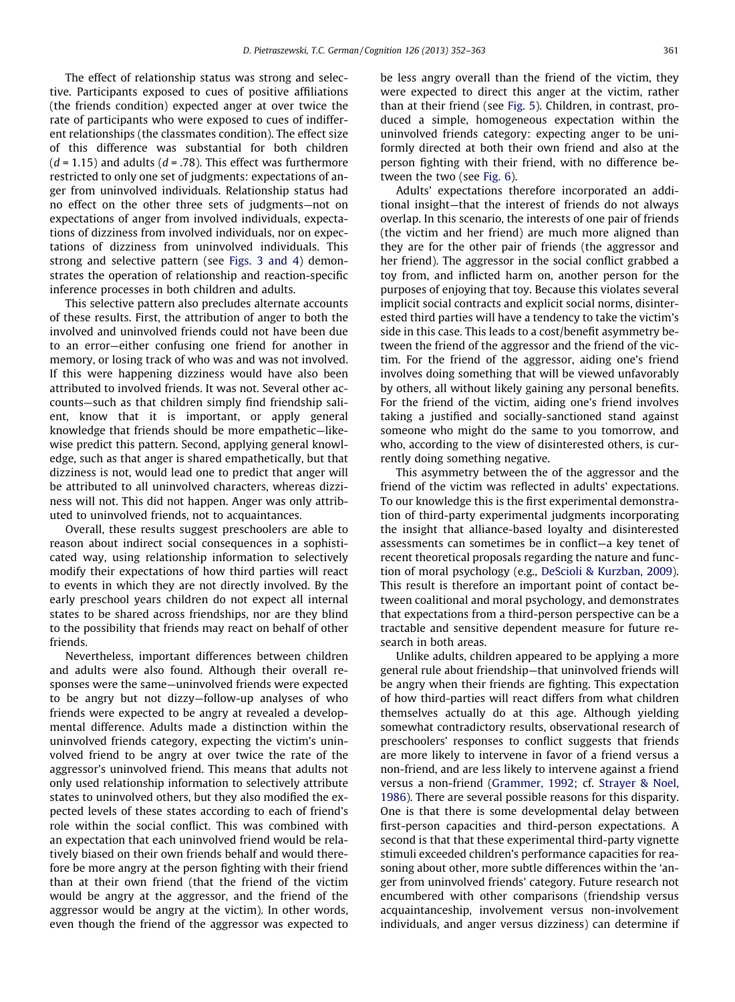The effect of relationship status was strong and selective. Participants exposed to cues of positive affiliations (the friends condition) expected anger at over twice the rate of participants who were exposed to cues of indifferent relationships (the classmates condition). The effect size of this difference was substantial for both children  $(d = 1.15)$  and adults  $(d = .78)$ . This effect was furthermore restricted to only one set of judgments: expectations of anger from uninvolved individuals. Relationship status had no effect on the other three sets of judgments—not on expectations of anger from involved individuals, expectations of dizziness from involved individuals, nor on expectations of dizziness from uninvolved individuals. This strong and selective pattern (see [Figs. 3 and 4\)](#page-5-0) demonstrates the operation of relationship and reaction-specific inference processes in both children and adults.

This selective pattern also precludes alternate accounts of these results. First, the attribution of anger to both the involved and uninvolved friends could not have been due to an error—either confusing one friend for another in memory, or losing track of who was and was not involved. If this were happening dizziness would have also been attributed to involved friends. It was not. Several other accounts—such as that children simply find friendship salient, know that it is important, or apply general knowledge that friends should be more empathetic—likewise predict this pattern. Second, applying general knowledge, such as that anger is shared empathetically, but that dizziness is not, would lead one to predict that anger will be attributed to all uninvolved characters, whereas dizziness will not. This did not happen. Anger was only attributed to uninvolved friends, not to acquaintances.

Overall, these results suggest preschoolers are able to reason about indirect social consequences in a sophisticated way, using relationship information to selectively modify their expectations of how third parties will react to events in which they are not directly involved. By the early preschool years children do not expect all internal states to be shared across friendships, nor are they blind to the possibility that friends may react on behalf of other friends.

Nevertheless, important differences between children and adults were also found. Although their overall responses were the same—uninvolved friends were expected to be angry but not dizzy—follow-up analyses of who friends were expected to be angry at revealed a developmental difference. Adults made a distinction within the uninvolved friends category, expecting the victim's uninvolved friend to be angry at over twice the rate of the aggressor's uninvolved friend. This means that adults not only used relationship information to selectively attribute states to uninvolved others, but they also modified the expected levels of these states according to each of friend's role within the social conflict. This was combined with an expectation that each uninvolved friend would be relatively biased on their own friends behalf and would therefore be more angry at the person fighting with their friend than at their own friend (that the friend of the victim would be angry at the aggressor, and the friend of the aggressor would be angry at the victim). In other words, even though the friend of the aggressor was expected to be less angry overall than the friend of the victim, they were expected to direct this anger at the victim, rather than at their friend (see [Fig. 5\)](#page-7-0). Children, in contrast, produced a simple, homogeneous expectation within the uninvolved friends category: expecting anger to be uniformly directed at both their own friend and also at the person fighting with their friend, with no difference between the two (see [Fig. 6\)](#page-8-0).

Adults' expectations therefore incorporated an additional insight—that the interest of friends do not always overlap. In this scenario, the interests of one pair of friends (the victim and her friend) are much more aligned than they are for the other pair of friends (the aggressor and her friend). The aggressor in the social conflict grabbed a toy from, and inflicted harm on, another person for the purposes of enjoying that toy. Because this violates several implicit social contracts and explicit social norms, disinterested third parties will have a tendency to take the victim's side in this case. This leads to a cost/benefit asymmetry between the friend of the aggressor and the friend of the victim. For the friend of the aggressor, aiding one's friend involves doing something that will be viewed unfavorably by others, all without likely gaining any personal benefits. For the friend of the victim, aiding one's friend involves taking a justified and socially-sanctioned stand against someone who might do the same to you tomorrow, and who, according to the view of disinterested others, is currently doing something negative.

This asymmetry between the of the aggressor and the friend of the victim was reflected in adults' expectations. To our knowledge this is the first experimental demonstration of third-party experimental judgments incorporating the insight that alliance-based loyalty and disinterested assessments can sometimes be in conflict—a key tenet of recent theoretical proposals regarding the nature and function of moral psychology (e.g., [DeScioli & Kurzban, 2009](#page-11-0)). This result is therefore an important point of contact between coalitional and moral psychology, and demonstrates that expectations from a third-person perspective can be a tractable and sensitive dependent measure for future research in both areas.

Unlike adults, children appeared to be applying a more general rule about friendship—that uninvolved friends will be angry when their friends are fighting. This expectation of how third-parties will react differs from what children themselves actually do at this age. Although yielding somewhat contradictory results, observational research of preschoolers' responses to conflict suggests that friends are more likely to intervene in favor of a friend versus a non-friend, and are less likely to intervene against a friend versus a non-friend ([Grammer, 1992](#page-11-0); cf. [Strayer & Noel,](#page-11-0) [1986\)](#page-11-0). There are several possible reasons for this disparity. One is that there is some developmental delay between first-person capacities and third-person expectations. A second is that that these experimental third-party vignette stimuli exceeded children's performance capacities for reasoning about other, more subtle differences within the 'anger from uninvolved friends' category. Future research not encumbered with other comparisons (friendship versus acquaintanceship, involvement versus non-involvement individuals, and anger versus dizziness) can determine if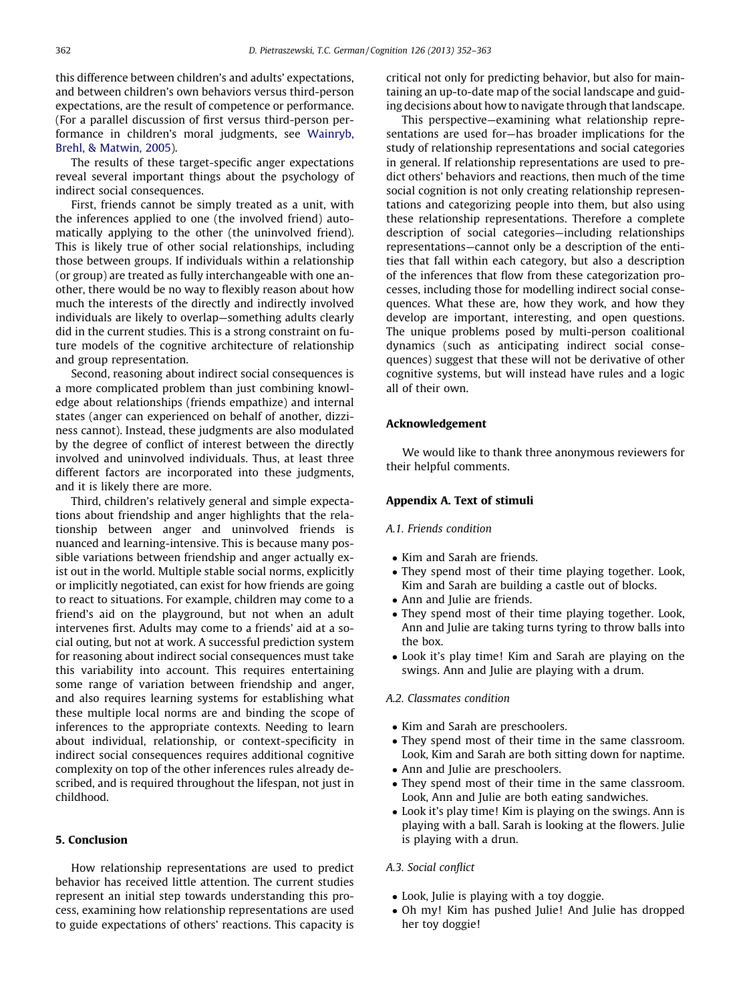this difference between children's and adults' expectations, and between children's own behaviors versus third-person expectations, are the result of competence or performance. (For a parallel discussion of first versus third-person performance in children's moral judgments, see [Wainryb,](#page-11-0) [Brehl, & Matwin, 2005\)](#page-11-0).

The results of these target-specific anger expectations reveal several important things about the psychology of indirect social consequences.

First, friends cannot be simply treated as a unit, with the inferences applied to one (the involved friend) automatically applying to the other (the uninvolved friend). This is likely true of other social relationships, including those between groups. If individuals within a relationship (or group) are treated as fully interchangeable with one another, there would be no way to flexibly reason about how much the interests of the directly and indirectly involved individuals are likely to overlap—something adults clearly did in the current studies. This is a strong constraint on future models of the cognitive architecture of relationship and group representation.

Second, reasoning about indirect social consequences is a more complicated problem than just combining knowledge about relationships (friends empathize) and internal states (anger can experienced on behalf of another, dizziness cannot). Instead, these judgments are also modulated by the degree of conflict of interest between the directly involved and uninvolved individuals. Thus, at least three different factors are incorporated into these judgments, and it is likely there are more.

Third, children's relatively general and simple expectations about friendship and anger highlights that the relationship between anger and uninvolved friends is nuanced and learning-intensive. This is because many possible variations between friendship and anger actually exist out in the world. Multiple stable social norms, explicitly or implicitly negotiated, can exist for how friends are going to react to situations. For example, children may come to a friend's aid on the playground, but not when an adult intervenes first. Adults may come to a friends' aid at a social outing, but not at work. A successful prediction system for reasoning about indirect social consequences must take this variability into account. This requires entertaining some range of variation between friendship and anger, and also requires learning systems for establishing what these multiple local norms are and binding the scope of inferences to the appropriate contexts. Needing to learn about individual, relationship, or context-specificity in indirect social consequences requires additional cognitive complexity on top of the other inferences rules already described, and is required throughout the lifespan, not just in childhood.

# 5. Conclusion

How relationship representations are used to predict behavior has received little attention. The current studies represent an initial step towards understanding this process, examining how relationship representations are used to guide expectations of others' reactions. This capacity is

critical not only for predicting behavior, but also for maintaining an up-to-date map of the social landscape and guiding decisions about how to navigate through that landscape.

This perspective—examining what relationship representations are used for—has broader implications for the study of relationship representations and social categories in general. If relationship representations are used to predict others' behaviors and reactions, then much of the time social cognition is not only creating relationship representations and categorizing people into them, but also using these relationship representations. Therefore a complete description of social categories—including relationships representations—cannot only be a description of the entities that fall within each category, but also a description of the inferences that flow from these categorization processes, including those for modelling indirect social consequences. What these are, how they work, and how they develop are important, interesting, and open questions. The unique problems posed by multi-person coalitional dynamics (such as anticipating indirect social consequences) suggest that these will not be derivative of other cognitive systems, but will instead have rules and a logic all of their own.

## Acknowledgement

We would like to thank three anonymous reviewers for their helpful comments.

## Appendix A. Text of stimuli

# A.1. Friends condition

- Kim and Sarah are friends.
- They spend most of their time playing together. Look, Kim and Sarah are building a castle out of blocks.
- Ann and Julie are friends.
- They spend most of their time playing together. Look, Ann and Julie are taking turns tyring to throw balls into the box.
- Look it's play time! Kim and Sarah are playing on the swings. Ann and Julie are playing with a drum.

# A.2. Classmates condition

- Kim and Sarah are preschoolers.
- They spend most of their time in the same classroom. Look, Kim and Sarah are both sitting down for naptime.
- Ann and Julie are preschoolers.
- They spend most of their time in the same classroom. Look, Ann and Julie are both eating sandwiches.
- Look it's play time! Kim is playing on the swings. Ann is playing with a ball. Sarah is looking at the flowers. Julie is playing with a drun.

## A.3. Social conflict

- Look, Julie is playing with a toy doggie.
- Oh my! Kim has pushed Julie! And Julie has dropped her toy doggie!